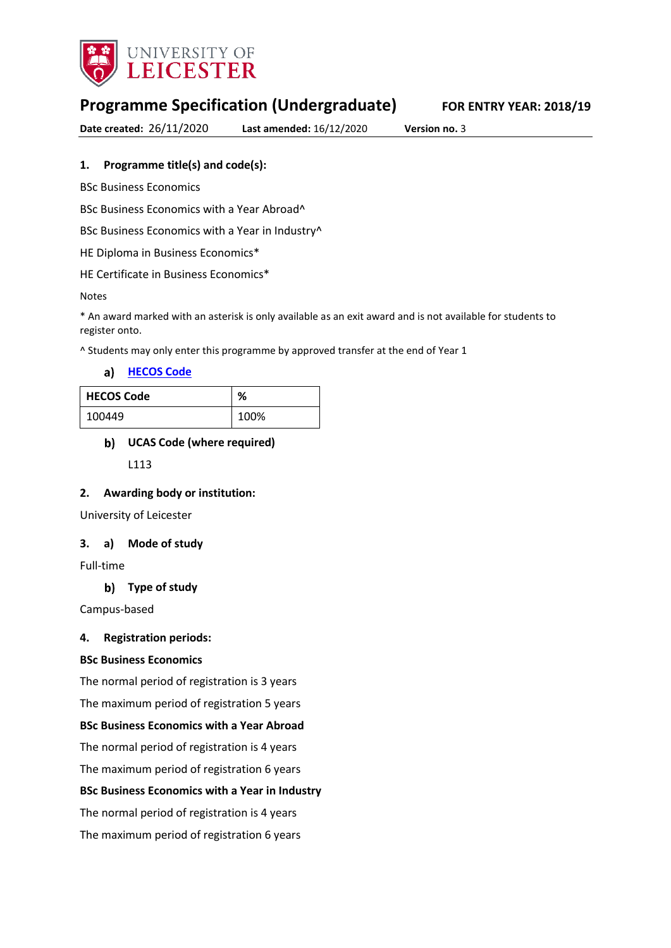

# **Programme Specification (Undergraduate) FOR ENTRY YEAR: 2018/19**

**Date created:** 26/11/2020 **Last amended:** 16/12/2020 **Version no.** 3

### **1. Programme title(s) and code(s):**

BSc Business Economics

BSc Business Economics with a Year Abroad^

BSc Business Economics with a Year in Industry^

HE Diploma in Business Economics\*

HE Certificate in Business Economics\*

#### Notes

\* An award marked with an asterisk is only available as an exit award and is not available for students to register onto.

^ Students may only enter this programme by approved transfer at the end of Year 1

**[HECOS Code](https://www.hesa.ac.uk/innovation/hecos)**

| <b>HECOS Code</b> | %    |
|-------------------|------|
| 100449            | 100% |

### **UCAS Code (where required)**

L113

#### **2. Awarding body or institution:**

University of Leicester

#### **3. a) Mode of study**

Full-time

#### **Type of study**

Campus-based

#### **4. Registration periods:**

#### **BSc Business Economics**

The normal period of registration is 3 years

The maximum period of registration 5 years

#### **BSc Business Economics with a Year Abroad**

The normal period of registration is 4 years

The maximum period of registration 6 years

#### **BSc Business Economics with a Year in Industry**

The normal period of registration is 4 years

The maximum period of registration 6 years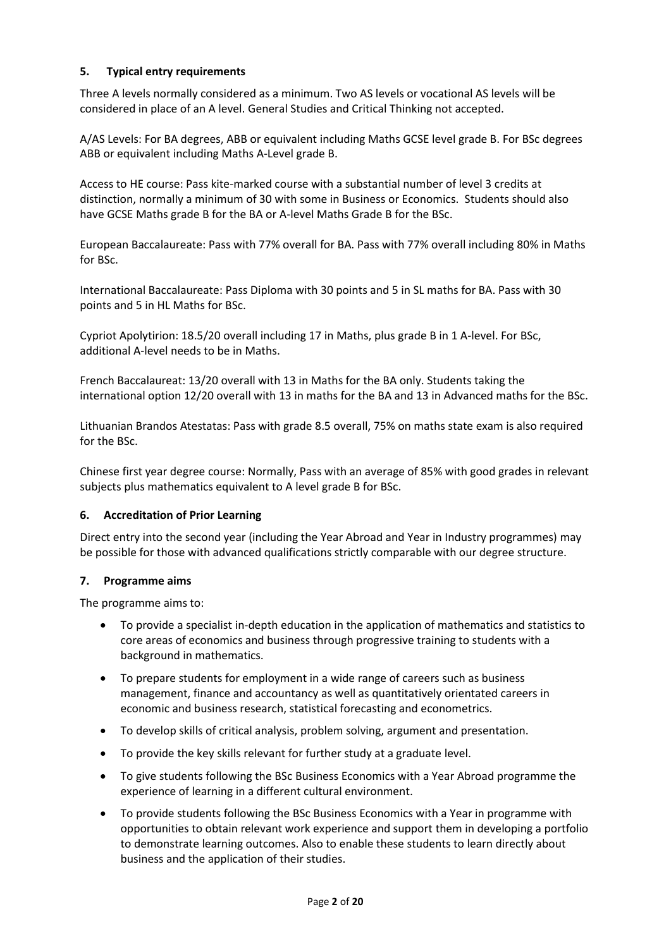### **5. Typical entry requirements**

Three A levels normally considered as a minimum. Two AS levels or vocational AS levels will be considered in place of an A level. General Studies and Critical Thinking not accepted.

A/AS Levels: For BA degrees, ABB or equivalent including Maths GCSE level grade B. For BSc degrees ABB or equivalent including Maths A-Level grade B.

Access to HE course: Pass kite-marked course with a substantial number of level 3 credits at distinction, normally a minimum of 30 with some in Business or Economics. Students should also have GCSE Maths grade B for the BA or A-level Maths Grade B for the BSc.

European Baccalaureate: Pass with 77% overall for BA. Pass with 77% overall including 80% in Maths for BSc.

International Baccalaureate: Pass Diploma with 30 points and 5 in SL maths for BA. Pass with 30 points and 5 in HL Maths for BSc.

Cypriot Apolytirion: 18.5/20 overall including 17 in Maths, plus grade B in 1 A-level. For BSc, additional A-level needs to be in Maths.

French Baccalaureat: 13/20 overall with 13 in Maths for the BA only. Students taking the international option 12/20 overall with 13 in maths for the BA and 13 in Advanced maths for the BSc.

Lithuanian Brandos Atestatas: Pass with grade 8.5 overall, 75% on maths state exam is also required for the BSc.

Chinese first year degree course: Normally, Pass with an average of 85% with good grades in relevant subjects plus mathematics equivalent to A level grade B for BSc.

#### **6. Accreditation of Prior Learning**

Direct entry into the second year (including the Year Abroad and Year in Industry programmes) may be possible for those with advanced qualifications strictly comparable with our degree structure.

#### **7. Programme aims**

The programme aims to:

- To provide a specialist in-depth education in the application of mathematics and statistics to core areas of economics and business through progressive training to students with a background in mathematics.
- To prepare students for employment in a wide range of careers such as business management, finance and accountancy as well as quantitatively orientated careers in economic and business research, statistical forecasting and econometrics.
- To develop skills of critical analysis, problem solving, argument and presentation.
- To provide the key skills relevant for further study at a graduate level.
- To give students following the BSc Business Economics with a Year Abroad programme the experience of learning in a different cultural environment.
- To provide students following the BSc Business Economics with a Year in programme with opportunities to obtain relevant work experience and support them in developing a portfolio to demonstrate learning outcomes. Also to enable these students to learn directly about business and the application of their studies.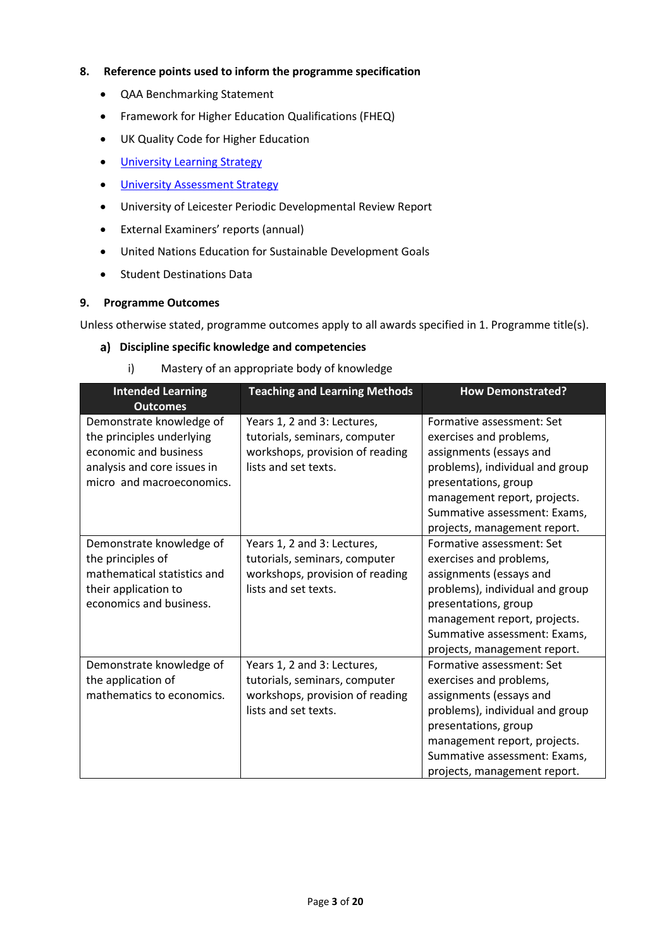#### **8. Reference points used to inform the programme specification**

- QAA Benchmarking Statement
- Framework for Higher Education Qualifications (FHEQ)
- UK Quality Code for Higher Education
- **•** University Learnin[g Strategy](https://www2.le.ac.uk/offices/sas2/quality/learnteach)
- **•** [University Assessment Strategy](https://www2.le.ac.uk/offices/sas2/quality/learnteach)
- University of Leicester Periodic Developmental Review Report
- External Examiners' reports (annual)
- United Nations Education for Sustainable Development Goals
- Student Destinations Data

#### **9. Programme Outcomes**

Unless otherwise stated, programme outcomes apply to all awards specified in 1. Programme title(s).

#### **Discipline specific knowledge and competencies**

i) Mastery of an appropriate body of knowledge

| <b>Intended Learning</b><br><b>Outcomes</b>                                                                                                | <b>Teaching and Learning Methods</b>                                                                                    | <b>How Demonstrated?</b>                                                                                                                                                                                                                   |
|--------------------------------------------------------------------------------------------------------------------------------------------|-------------------------------------------------------------------------------------------------------------------------|--------------------------------------------------------------------------------------------------------------------------------------------------------------------------------------------------------------------------------------------|
| Demonstrate knowledge of<br>the principles underlying<br>economic and business<br>analysis and core issues in<br>micro and macroeconomics. | Years 1, 2 and 3: Lectures,<br>tutorials, seminars, computer<br>workshops, provision of reading<br>lists and set texts. | Formative assessment: Set<br>exercises and problems,<br>assignments (essays and<br>problems), individual and group<br>presentations, group<br>management report, projects.<br>Summative assessment: Exams,<br>projects, management report. |
| Demonstrate knowledge of<br>the principles of<br>mathematical statistics and<br>their application to<br>economics and business.            | Years 1, 2 and 3: Lectures,<br>tutorials, seminars, computer<br>workshops, provision of reading<br>lists and set texts. | Formative assessment: Set<br>exercises and problems,<br>assignments (essays and<br>problems), individual and group<br>presentations, group<br>management report, projects.<br>Summative assessment: Exams,<br>projects, management report. |
| Demonstrate knowledge of<br>the application of<br>mathematics to economics.                                                                | Years 1, 2 and 3: Lectures,<br>tutorials, seminars, computer<br>workshops, provision of reading<br>lists and set texts. | Formative assessment: Set<br>exercises and problems,<br>assignments (essays and<br>problems), individual and group<br>presentations, group<br>management report, projects.<br>Summative assessment: Exams,<br>projects, management report. |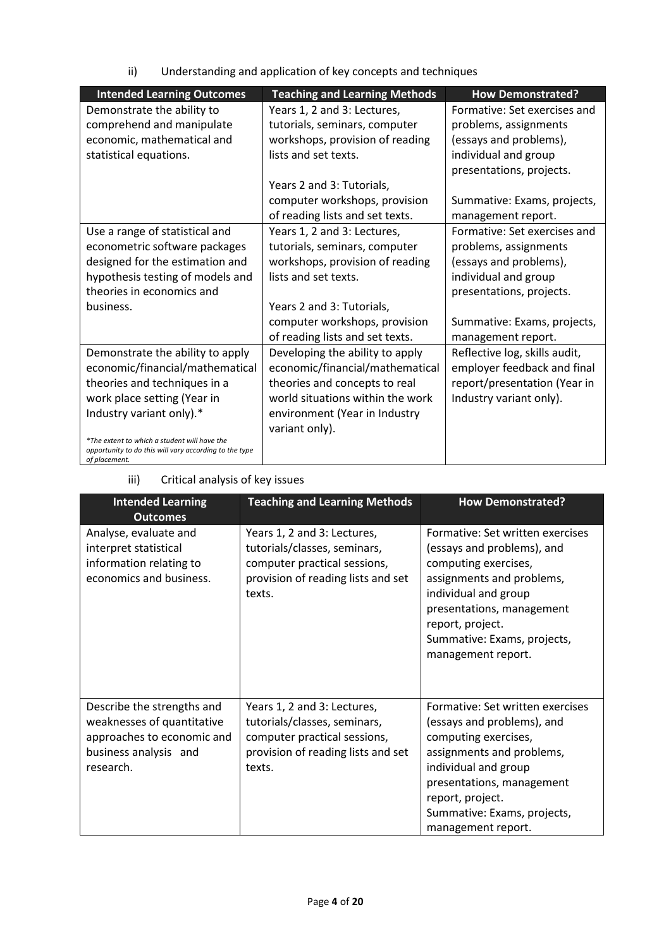ii) Understanding and application of key concepts and techniques

| <b>Intended Learning Outcomes</b>                                                                      | <b>Teaching and Learning Methods</b> | <b>How Demonstrated?</b>      |
|--------------------------------------------------------------------------------------------------------|--------------------------------------|-------------------------------|
| Demonstrate the ability to                                                                             | Years 1, 2 and 3: Lectures,          | Formative: Set exercises and  |
| comprehend and manipulate                                                                              | tutorials, seminars, computer        | problems, assignments         |
| economic, mathematical and                                                                             | workshops, provision of reading      | (essays and problems),        |
| statistical equations.                                                                                 | lists and set texts.                 | individual and group          |
|                                                                                                        |                                      | presentations, projects.      |
|                                                                                                        | Years 2 and 3: Tutorials,            |                               |
|                                                                                                        | computer workshops, provision        | Summative: Exams, projects,   |
|                                                                                                        | of reading lists and set texts.      | management report.            |
| Use a range of statistical and                                                                         | Years 1, 2 and 3: Lectures,          | Formative: Set exercises and  |
| econometric software packages                                                                          | tutorials, seminars, computer        | problems, assignments         |
| designed for the estimation and                                                                        | workshops, provision of reading      | (essays and problems),        |
| hypothesis testing of models and                                                                       | lists and set texts.                 | individual and group          |
| theories in economics and                                                                              |                                      | presentations, projects.      |
| business.                                                                                              | Years 2 and 3: Tutorials,            |                               |
|                                                                                                        | computer workshops, provision        | Summative: Exams, projects,   |
|                                                                                                        | of reading lists and set texts.      | management report.            |
| Demonstrate the ability to apply                                                                       | Developing the ability to apply      | Reflective log, skills audit, |
| economic/financial/mathematical                                                                        | economic/financial/mathematical      | employer feedback and final   |
| theories and techniques in a                                                                           | theories and concepts to real        | report/presentation (Year in  |
| work place setting (Year in                                                                            | world situations within the work     | Industry variant only).       |
| Industry variant only).*                                                                               | environment (Year in Industry        |                               |
|                                                                                                        | variant only).                       |                               |
| *The extent to which a student will have the<br>opportunity to do this will vary according to the type |                                      |                               |
| of placement.                                                                                          |                                      |                               |

# iii) Critical analysis of key issues

| <b>Intended Learning</b><br><b>Outcomes</b>                                                                                  | <b>Teaching and Learning Methods</b>                                                                                                        | <b>How Demonstrated?</b>                                                                                                                                                                                                                          |
|------------------------------------------------------------------------------------------------------------------------------|---------------------------------------------------------------------------------------------------------------------------------------------|---------------------------------------------------------------------------------------------------------------------------------------------------------------------------------------------------------------------------------------------------|
| Analyse, evaluate and<br>interpret statistical<br>information relating to<br>economics and business.                         | Years 1, 2 and 3: Lectures,<br>tutorials/classes, seminars,<br>computer practical sessions,<br>provision of reading lists and set<br>texts. | Formative: Set written exercises<br>(essays and problems), and<br>computing exercises,<br>assignments and problems,<br>individual and group<br>presentations, management<br>report, project.<br>Summative: Exams, projects,<br>management report. |
| Describe the strengths and<br>weaknesses of quantitative<br>approaches to economic and<br>business analysis and<br>research. | Years 1, 2 and 3: Lectures,<br>tutorials/classes, seminars,<br>computer practical sessions,<br>provision of reading lists and set<br>texts. | Formative: Set written exercises<br>(essays and problems), and<br>computing exercises,<br>assignments and problems,<br>individual and group<br>presentations, management<br>report, project.<br>Summative: Exams, projects,<br>management report. |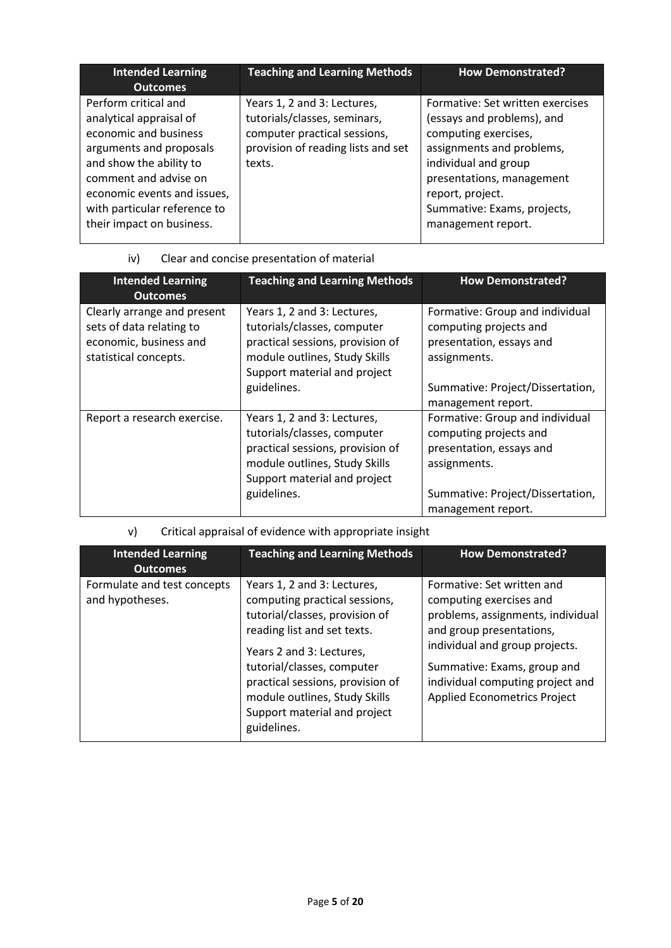| <b>Intended Learning</b><br><b>Outcomes</b>                                                                                                                                                                                                         | <b>Teaching and Learning Methods</b>                                                                                                        | <b>How Demonstrated?</b>                                                                                                                                                                                                                          |
|-----------------------------------------------------------------------------------------------------------------------------------------------------------------------------------------------------------------------------------------------------|---------------------------------------------------------------------------------------------------------------------------------------------|---------------------------------------------------------------------------------------------------------------------------------------------------------------------------------------------------------------------------------------------------|
| Perform critical and<br>analytical appraisal of<br>economic and business<br>arguments and proposals<br>and show the ability to<br>comment and advise on<br>economic events and issues,<br>with particular reference to<br>their impact on business. | Years 1, 2 and 3: Lectures,<br>tutorials/classes, seminars,<br>computer practical sessions,<br>provision of reading lists and set<br>texts. | Formative: Set written exercises<br>(essays and problems), and<br>computing exercises,<br>assignments and problems,<br>individual and group<br>presentations, management<br>report, project.<br>Summative: Exams, projects,<br>management report. |

# iv) Clear and concise presentation of material

| <b>Intended Learning</b><br><b>Outcomes</b>                                                                | <b>Teaching and Learning Methods</b>                                                                                                                                           | <b>How Demonstrated?</b>                                                                                                                  |
|------------------------------------------------------------------------------------------------------------|--------------------------------------------------------------------------------------------------------------------------------------------------------------------------------|-------------------------------------------------------------------------------------------------------------------------------------------|
| Clearly arrange and present<br>sets of data relating to<br>economic, business and<br>statistical concepts. | Years 1, 2 and 3: Lectures,<br>tutorials/classes, computer<br>practical sessions, provision of<br>module outlines, Study Skills<br>Support material and project                | Formative: Group and individual<br>computing projects and<br>presentation, essays and<br>assignments.                                     |
|                                                                                                            | guidelines.                                                                                                                                                                    | Summative: Project/Dissertation,<br>management report.                                                                                    |
| Report a research exercise.                                                                                | Years 1, 2 and 3: Lectures,<br>tutorials/classes, computer<br>practical sessions, provision of<br>module outlines, Study Skills<br>Support material and project<br>guidelines. | Formative: Group and individual<br>computing projects and<br>presentation, essays and<br>assignments.<br>Summative: Project/Dissertation, |
|                                                                                                            |                                                                                                                                                                                | management report.                                                                                                                        |

## v) Critical appraisal of evidence with appropriate insight

| <b>Intended Learning</b><br><b>Outcomes</b>    | <b>Teaching and Learning Methods</b>                                                                                                                                                                                                                                                                        | <b>How Demonstrated?</b>                                                                                                                                                                                                                                           |
|------------------------------------------------|-------------------------------------------------------------------------------------------------------------------------------------------------------------------------------------------------------------------------------------------------------------------------------------------------------------|--------------------------------------------------------------------------------------------------------------------------------------------------------------------------------------------------------------------------------------------------------------------|
| Formulate and test concepts<br>and hypotheses. | Years 1, 2 and 3: Lectures,<br>computing practical sessions,<br>tutorial/classes, provision of<br>reading list and set texts.<br>Years 2 and 3: Lectures,<br>tutorial/classes, computer<br>practical sessions, provision of<br>module outlines, Study Skills<br>Support material and project<br>guidelines. | Formative: Set written and<br>computing exercises and<br>problems, assignments, individual<br>and group presentations,<br>individual and group projects.<br>Summative: Exams, group and<br>individual computing project and<br><b>Applied Econometrics Project</b> |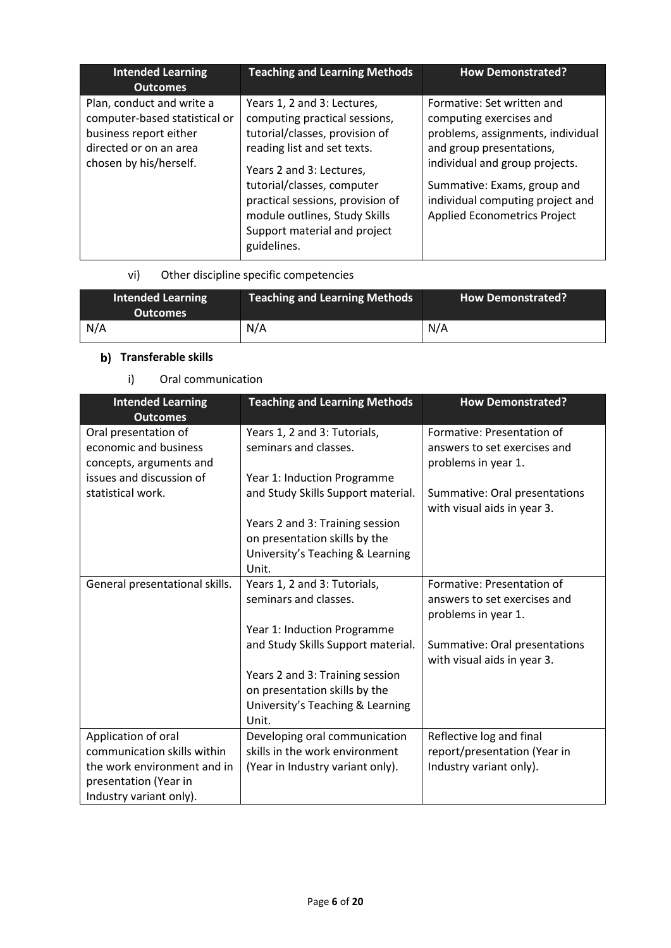| <b>Intended Learning</b><br><b>Outcomes</b>                                                                                              | <b>Teaching and Learning Methods</b>                                                                                                                                                                                                                                                                        | <b>How Demonstrated?</b>                                                                                                                                                                                                                                           |
|------------------------------------------------------------------------------------------------------------------------------------------|-------------------------------------------------------------------------------------------------------------------------------------------------------------------------------------------------------------------------------------------------------------------------------------------------------------|--------------------------------------------------------------------------------------------------------------------------------------------------------------------------------------------------------------------------------------------------------------------|
| Plan, conduct and write a<br>computer-based statistical or<br>business report either<br>directed or on an area<br>chosen by his/herself. | Years 1, 2 and 3: Lectures,<br>computing practical sessions,<br>tutorial/classes, provision of<br>reading list and set texts.<br>Years 2 and 3: Lectures,<br>tutorial/classes, computer<br>practical sessions, provision of<br>module outlines, Study Skills<br>Support material and project<br>guidelines. | Formative: Set written and<br>computing exercises and<br>problems, assignments, individual<br>and group presentations,<br>individual and group projects.<br>Summative: Exams, group and<br>individual computing project and<br><b>Applied Econometrics Project</b> |

# vi) Other discipline specific competencies

| <b>Intended Learning</b><br><b>Outcomes</b> | <b>Teaching and Learning Methods</b> | <b>How Demonstrated?</b> |
|---------------------------------------------|--------------------------------------|--------------------------|
| N/A                                         | N/A                                  | N/A                      |

# **b)** Transferable skills

# i) Oral communication

| <b>Intended Learning</b><br><b>Outcomes</b>                              | <b>Teaching and Learning Methods</b>                              | <b>How Demonstrated?</b>                                                          |
|--------------------------------------------------------------------------|-------------------------------------------------------------------|-----------------------------------------------------------------------------------|
| Oral presentation of<br>economic and business<br>concepts, arguments and | Years 1, 2 and 3: Tutorials,<br>seminars and classes.             | Formative: Presentation of<br>answers to set exercises and<br>problems in year 1. |
| issues and discussion of                                                 | Year 1: Induction Programme                                       |                                                                                   |
| statistical work.                                                        | and Study Skills Support material.                                | Summative: Oral presentations<br>with visual aids in year 3.                      |
|                                                                          | Years 2 and 3: Training session                                   |                                                                                   |
|                                                                          | on presentation skills by the<br>University's Teaching & Learning |                                                                                   |
|                                                                          | Unit.                                                             |                                                                                   |
| General presentational skills.                                           | Years 1, 2 and 3: Tutorials,<br>seminars and classes.             | Formative: Presentation of<br>answers to set exercises and<br>problems in year 1. |
|                                                                          | Year 1: Induction Programme                                       |                                                                                   |
|                                                                          | and Study Skills Support material.                                | Summative: Oral presentations<br>with visual aids in year 3.                      |
|                                                                          | Years 2 and 3: Training session<br>on presentation skills by the  |                                                                                   |
|                                                                          | University's Teaching & Learning<br>Unit.                         |                                                                                   |
| Application of oral                                                      | Developing oral communication                                     | Reflective log and final                                                          |
| communication skills within                                              | skills in the work environment                                    | report/presentation (Year in                                                      |
| the work environment and in                                              | (Year in Industry variant only).                                  | Industry variant only).                                                           |
| presentation (Year in                                                    |                                                                   |                                                                                   |
| Industry variant only).                                                  |                                                                   |                                                                                   |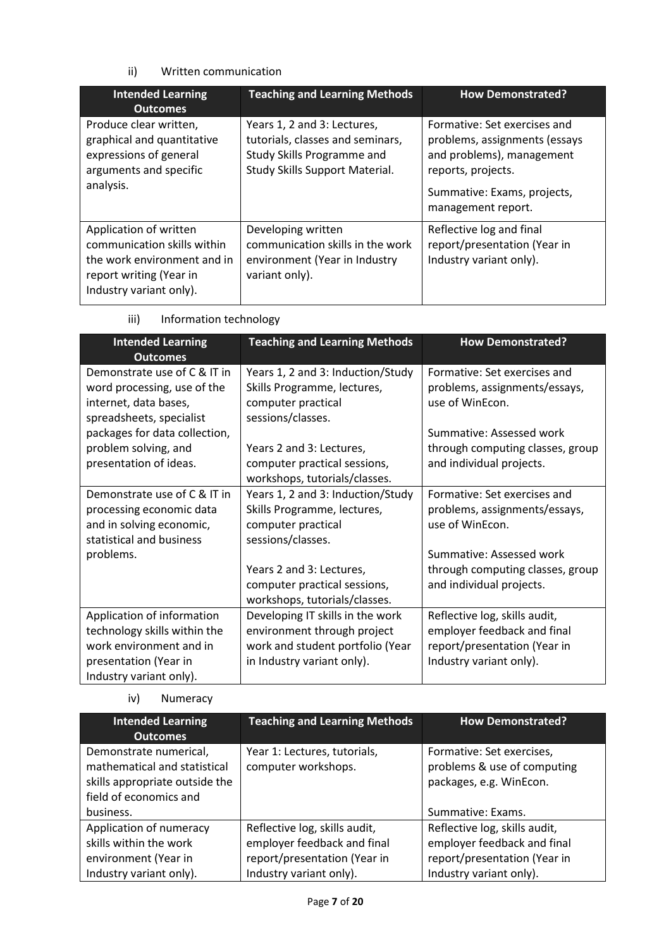### ii) Written communication

| <b>Intended Learning</b><br><b>Outcomes</b>                                                                                                | <b>Teaching and Learning Methods</b>                                                                                            | <b>How Demonstrated?</b>                                                                                                                                              |
|--------------------------------------------------------------------------------------------------------------------------------------------|---------------------------------------------------------------------------------------------------------------------------------|-----------------------------------------------------------------------------------------------------------------------------------------------------------------------|
| Produce clear written,<br>graphical and quantitative<br>expressions of general<br>arguments and specific<br>analysis.                      | Years 1, 2 and 3: Lectures,<br>tutorials, classes and seminars,<br>Study Skills Programme and<br>Study Skills Support Material. | Formative: Set exercises and<br>problems, assignments (essays<br>and problems), management<br>reports, projects.<br>Summative: Exams, projects,<br>management report. |
| Application of written<br>communication skills within<br>the work environment and in<br>report writing (Year in<br>Industry variant only). | Developing written<br>communication skills in the work<br>environment (Year in Industry<br>variant only).                       | Reflective log and final<br>report/presentation (Year in<br>Industry variant only).                                                                                   |

| <b>Intended Learning</b><br><b>Outcomes</b>                                                                                               | <b>Teaching and Learning Methods</b>                                                                                                                                                                     | <b>How Demonstrated?</b>                                                                                                                                                     |
|-------------------------------------------------------------------------------------------------------------------------------------------|----------------------------------------------------------------------------------------------------------------------------------------------------------------------------------------------------------|------------------------------------------------------------------------------------------------------------------------------------------------------------------------------|
| Demonstrate use of C & IT in<br>word processing, use of the<br>internet, data bases,<br>spreadsheets, specialist                          | Years 1, 2 and 3: Induction/Study<br>Skills Programme, lectures,<br>computer practical<br>sessions/classes.                                                                                              | Formative: Set exercises and<br>problems, assignments/essays,<br>use of WinEcon.<br>Summative: Assessed work                                                                 |
| packages for data collection,<br>problem solving, and<br>presentation of ideas.                                                           | Years 2 and 3: Lectures,<br>computer practical sessions,<br>workshops, tutorials/classes.                                                                                                                | through computing classes, group<br>and individual projects.                                                                                                                 |
| Demonstrate use of C & IT in<br>processing economic data<br>and in solving economic,<br>statistical and business<br>problems.             | Years 1, 2 and 3: Induction/Study<br>Skills Programme, lectures,<br>computer practical<br>sessions/classes.<br>Years 2 and 3: Lectures,<br>computer practical sessions,<br>workshops, tutorials/classes. | Formative: Set exercises and<br>problems, assignments/essays,<br>use of WinEcon.<br>Summative: Assessed work<br>through computing classes, group<br>and individual projects. |
| Application of information<br>technology skills within the<br>work environment and in<br>presentation (Year in<br>Industry variant only). | Developing IT skills in the work<br>environment through project<br>work and student portfolio (Year<br>in Industry variant only).                                                                        | Reflective log, skills audit,<br>employer feedback and final<br>report/presentation (Year in<br>Industry variant only).                                                      |

### iii) Information technology

### iv) Numeracy

| <b>Intended Learning</b>                                                                                           | <b>Teaching and Learning Methods</b>                | <b>How Demonstrated?</b>                                                            |  |
|--------------------------------------------------------------------------------------------------------------------|-----------------------------------------------------|-------------------------------------------------------------------------------------|--|
| <b>Outcomes</b>                                                                                                    |                                                     |                                                                                     |  |
| Demonstrate numerical,<br>mathematical and statistical<br>skills appropriate outside the<br>field of economics and | Year 1: Lectures, tutorials,<br>computer workshops. | Formative: Set exercises,<br>problems & use of computing<br>packages, e.g. WinEcon. |  |
| business.                                                                                                          |                                                     | Summative: Exams.                                                                   |  |
| Application of numeracy                                                                                            | Reflective log, skills audit,                       | Reflective log, skills audit,                                                       |  |
| skills within the work                                                                                             | employer feedback and final                         | employer feedback and final                                                         |  |
| environment (Year in                                                                                               | report/presentation (Year in                        | report/presentation (Year in                                                        |  |
| Industry variant only).                                                                                            | Industry variant only).                             | Industry variant only).                                                             |  |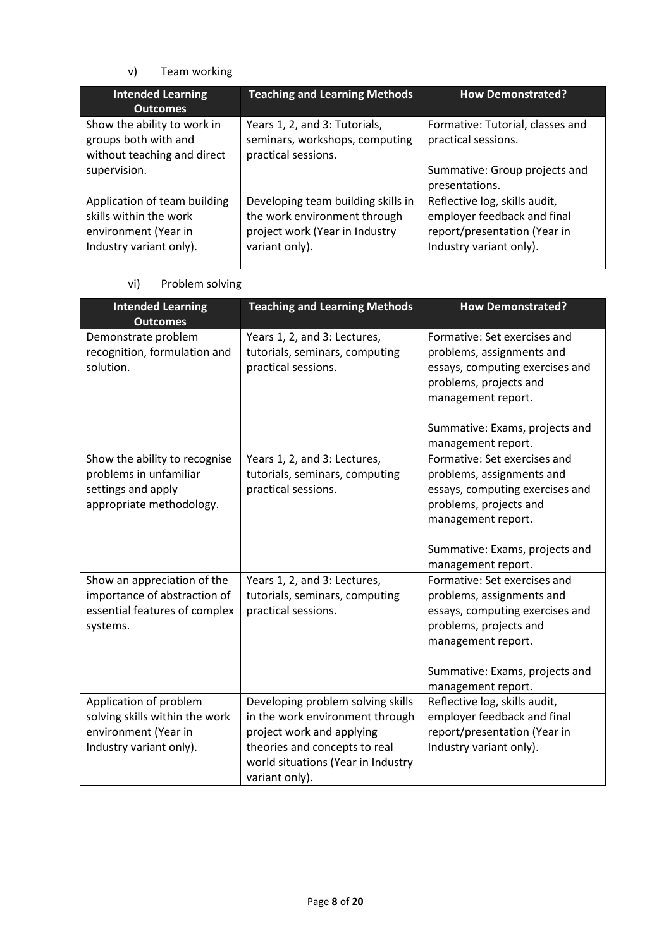### v) Team working

| <b>Intended Learning</b><br><b>Outcomes</b>                                                               | <b>Teaching and Learning Methods</b>                                                                                   | <b>How Demonstrated?</b>                                                                                                |
|-----------------------------------------------------------------------------------------------------------|------------------------------------------------------------------------------------------------------------------------|-------------------------------------------------------------------------------------------------------------------------|
| Show the ability to work in<br>groups both with and<br>without teaching and direct                        | Years 1, 2, and 3: Tutorials,<br>seminars, workshops, computing<br>practical sessions.                                 | Formative: Tutorial, classes and<br>practical sessions.                                                                 |
| supervision.                                                                                              |                                                                                                                        | Summative: Group projects and<br>presentations.                                                                         |
| Application of team building<br>skills within the work<br>environment (Year in<br>Industry variant only). | Developing team building skills in<br>the work environment through<br>project work (Year in Industry<br>variant only). | Reflective log, skills audit,<br>employer feedback and final<br>report/presentation (Year in<br>Industry variant only). |

vi) Problem solving

| <b>Intended Learning</b><br><b>Outcomes</b> | <b>Teaching and Learning Methods</b> | <b>How Demonstrated?</b>        |
|---------------------------------------------|--------------------------------------|---------------------------------|
| Demonstrate problem                         | Years 1, 2, and 3: Lectures,         | Formative: Set exercises and    |
| recognition, formulation and                | tutorials, seminars, computing       | problems, assignments and       |
| solution.                                   | practical sessions.                  | essays, computing exercises and |
|                                             |                                      | problems, projects and          |
|                                             |                                      | management report.              |
|                                             |                                      | Summative: Exams, projects and  |
|                                             |                                      | management report.              |
| Show the ability to recognise               | Years 1, 2, and 3: Lectures,         | Formative: Set exercises and    |
| problems in unfamiliar                      | tutorials, seminars, computing       | problems, assignments and       |
| settings and apply                          | practical sessions.                  | essays, computing exercises and |
| appropriate methodology.                    |                                      | problems, projects and          |
|                                             |                                      | management report.              |
|                                             |                                      | Summative: Exams, projects and  |
|                                             |                                      | management report.              |
| Show an appreciation of the                 | Years 1, 2, and 3: Lectures,         | Formative: Set exercises and    |
| importance of abstraction of                | tutorials, seminars, computing       | problems, assignments and       |
| essential features of complex               | practical sessions.                  | essays, computing exercises and |
| systems.                                    |                                      | problems, projects and          |
|                                             |                                      | management report.              |
|                                             |                                      | Summative: Exams, projects and  |
|                                             |                                      | management report.              |
| Application of problem                      | Developing problem solving skills    | Reflective log, skills audit,   |
| solving skills within the work              | in the work environment through      | employer feedback and final     |
| environment (Year in                        | project work and applying            | report/presentation (Year in    |
| Industry variant only).                     | theories and concepts to real        | Industry variant only).         |
|                                             | world situations (Year in Industry   |                                 |
|                                             | variant only).                       |                                 |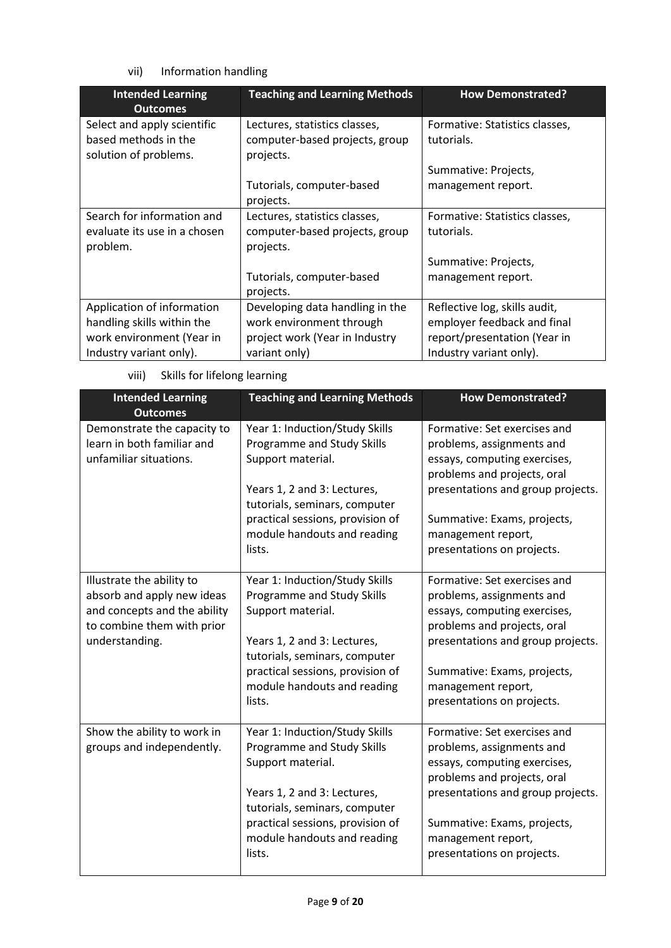vii) Information handling

| <b>Intended Learning</b><br><b>Outcomes</b> | <b>Teaching and Learning Methods</b> | <b>How Demonstrated?</b>       |
|---------------------------------------------|--------------------------------------|--------------------------------|
| Select and apply scientific                 | Lectures, statistics classes,        | Formative: Statistics classes, |
| based methods in the                        | computer-based projects, group       | tutorials.                     |
| solution of problems.                       | projects.                            |                                |
|                                             |                                      | Summative: Projects,           |
|                                             | Tutorials, computer-based            | management report.             |
|                                             | projects.                            |                                |
| Search for information and                  | Lectures, statistics classes,        | Formative: Statistics classes, |
| evaluate its use in a chosen                | computer-based projects, group       | tutorials.                     |
| problem.                                    | projects.                            |                                |
|                                             |                                      | Summative: Projects,           |
|                                             | Tutorials, computer-based            | management report.             |
|                                             | projects.                            |                                |
| Application of information                  | Developing data handling in the      | Reflective log, skills audit,  |
| handling skills within the                  | work environment through             | employer feedback and final    |
| work environment (Year in                   | project work (Year in Industry       | report/presentation (Year in   |
| Industry variant only).                     | variant only)                        | Industry variant only).        |

| viii) | Skills for lifelong learning |
|-------|------------------------------|
|       |                              |

| <b>Intended Learning</b><br><b>Outcomes</b>                                                                                             | <b>Teaching and Learning Methods</b>                                                                                                                                                                                           | <b>How Demonstrated?</b>                                                                                                                                                                                                                         |
|-----------------------------------------------------------------------------------------------------------------------------------------|--------------------------------------------------------------------------------------------------------------------------------------------------------------------------------------------------------------------------------|--------------------------------------------------------------------------------------------------------------------------------------------------------------------------------------------------------------------------------------------------|
| Demonstrate the capacity to<br>learn in both familiar and<br>unfamiliar situations.                                                     | Year 1: Induction/Study Skills<br>Programme and Study Skills<br>Support material.                                                                                                                                              | Formative: Set exercises and<br>problems, assignments and<br>essays, computing exercises,<br>problems and projects, oral                                                                                                                         |
|                                                                                                                                         | Years 1, 2 and 3: Lectures,<br>tutorials, seminars, computer                                                                                                                                                                   | presentations and group projects.                                                                                                                                                                                                                |
|                                                                                                                                         | practical sessions, provision of<br>module handouts and reading<br>lists.                                                                                                                                                      | Summative: Exams, projects,<br>management report,<br>presentations on projects.                                                                                                                                                                  |
| Illustrate the ability to<br>absorb and apply new ideas<br>and concepts and the ability<br>to combine them with prior<br>understanding. | Year 1: Induction/Study Skills<br>Programme and Study Skills<br>Support material.<br>Years 1, 2 and 3: Lectures,<br>tutorials, seminars, computer<br>practical sessions, provision of<br>module handouts and reading<br>lists. | Formative: Set exercises and<br>problems, assignments and<br>essays, computing exercises,<br>problems and projects, oral<br>presentations and group projects.<br>Summative: Exams, projects,<br>management report,<br>presentations on projects. |
| Show the ability to work in<br>groups and independently.                                                                                | Year 1: Induction/Study Skills<br>Programme and Study Skills<br>Support material.<br>Years 1, 2 and 3: Lectures,<br>tutorials, seminars, computer<br>practical sessions, provision of<br>module handouts and reading<br>lists. | Formative: Set exercises and<br>problems, assignments and<br>essays, computing exercises,<br>problems and projects, oral<br>presentations and group projects.<br>Summative: Exams, projects,<br>management report,<br>presentations on projects. |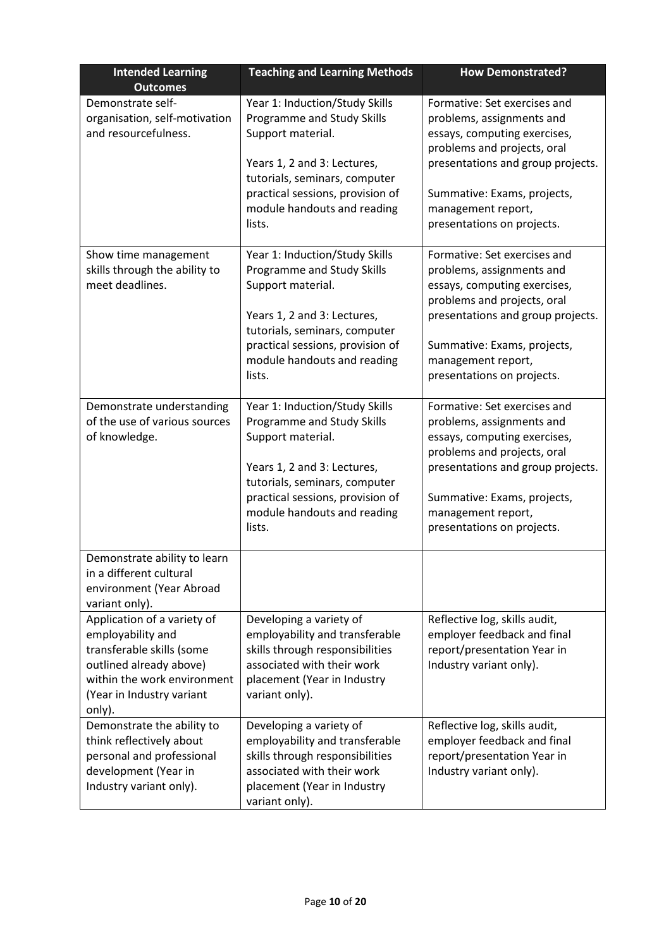| <b>Intended Learning</b><br><b>Outcomes</b>                                                                                                                                    | <b>Teaching and Learning Methods</b><br><b>How Demonstrated?</b>                                                                                                                                                               |                                                                                                                                                                                                                                                  |
|--------------------------------------------------------------------------------------------------------------------------------------------------------------------------------|--------------------------------------------------------------------------------------------------------------------------------------------------------------------------------------------------------------------------------|--------------------------------------------------------------------------------------------------------------------------------------------------------------------------------------------------------------------------------------------------|
| Demonstrate self-<br>organisation, self-motivation<br>and resourcefulness.                                                                                                     | Year 1: Induction/Study Skills<br>Programme and Study Skills<br>Support material.<br>Years 1, 2 and 3: Lectures,<br>tutorials, seminars, computer<br>practical sessions, provision of<br>module handouts and reading<br>lists. | Formative: Set exercises and<br>problems, assignments and<br>essays, computing exercises,<br>problems and projects, oral<br>presentations and group projects.<br>Summative: Exams, projects,<br>management report,<br>presentations on projects. |
| Show time management<br>skills through the ability to<br>meet deadlines.                                                                                                       | Year 1: Induction/Study Skills<br>Programme and Study Skills<br>Support material.<br>Years 1, 2 and 3: Lectures,<br>tutorials, seminars, computer<br>practical sessions, provision of<br>module handouts and reading<br>lists. | Formative: Set exercises and<br>problems, assignments and<br>essays, computing exercises,<br>problems and projects, oral<br>presentations and group projects.<br>Summative: Exams, projects,<br>management report,<br>presentations on projects. |
| Demonstrate understanding<br>of the use of various sources<br>of knowledge.                                                                                                    | Year 1: Induction/Study Skills<br>Programme and Study Skills<br>Support material.<br>Years 1, 2 and 3: Lectures,<br>tutorials, seminars, computer<br>practical sessions, provision of<br>module handouts and reading<br>lists. | Formative: Set exercises and<br>problems, assignments and<br>essays, computing exercises,<br>problems and projects, oral<br>presentations and group projects.<br>Summative: Exams, projects,<br>management report,<br>presentations on projects. |
| Demonstrate ability to learn<br>in a different cultural<br>environment (Year Abroad<br>variant only).                                                                          |                                                                                                                                                                                                                                |                                                                                                                                                                                                                                                  |
| Application of a variety of<br>employability and<br>transferable skills (some<br>outlined already above)<br>within the work environment<br>(Year in Industry variant<br>only). | Developing a variety of<br>employability and transferable<br>skills through responsibilities<br>associated with their work<br>placement (Year in Industry<br>variant only).                                                    | Reflective log, skills audit,<br>employer feedback and final<br>report/presentation Year in<br>Industry variant only).                                                                                                                           |
| Demonstrate the ability to<br>think reflectively about<br>personal and professional<br>development (Year in<br>Industry variant only).                                         | Developing a variety of<br>employability and transferable<br>skills through responsibilities<br>associated with their work<br>placement (Year in Industry<br>variant only).                                                    | Reflective log, skills audit,<br>employer feedback and final<br>report/presentation Year in<br>Industry variant only).                                                                                                                           |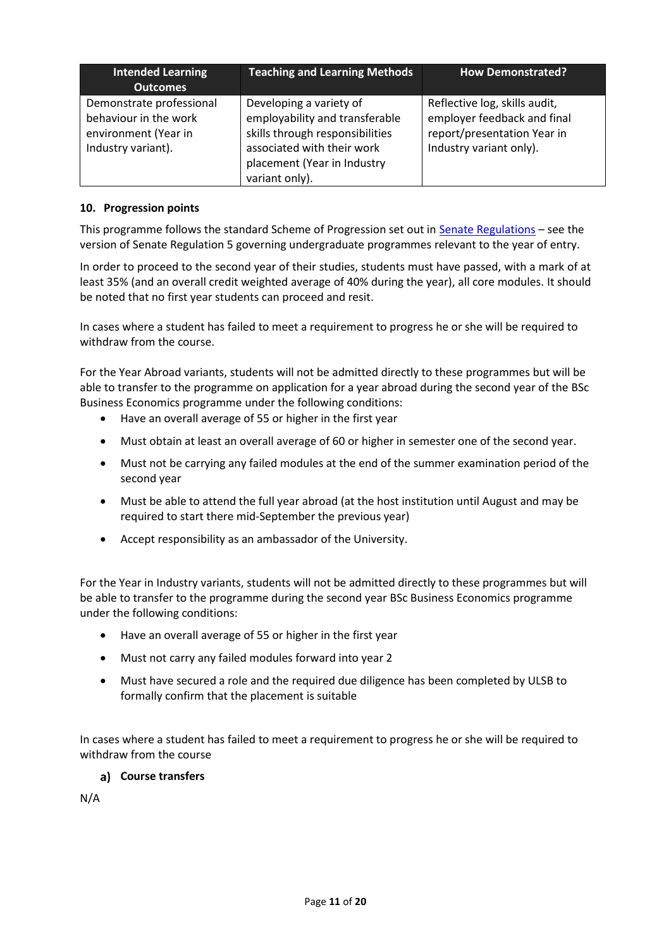| <b>Intended Learning</b><br><b>Outcomes</b>                                                     | <b>Teaching and Learning Methods</b>                                                                                                                                        | <b>How Demonstrated?</b>                                                                                               |
|-------------------------------------------------------------------------------------------------|-----------------------------------------------------------------------------------------------------------------------------------------------------------------------------|------------------------------------------------------------------------------------------------------------------------|
| Demonstrate professional<br>behaviour in the work<br>environment (Year in<br>Industry variant). | Developing a variety of<br>employability and transferable<br>skills through responsibilities<br>associated with their work<br>placement (Year in Industry<br>variant only). | Reflective log, skills audit,<br>employer feedback and final<br>report/presentation Year in<br>Industry variant only). |

### **10. Progression points**

This programme follows the standard Scheme of Progression set out i[n Senate Regulations](http://www.le.ac.uk/senate-regulations) – see the version of Senate Regulation 5 governing undergraduate programmes relevant to the year of entry.

In order to proceed to the second year of their studies, students must have passed, with a mark of at least 35% (and an overall credit weighted average of 40% during the year), all core modules. It should be noted that no first year students can proceed and resit.

In cases where a student has failed to meet a requirement to progress he or she will be required to withdraw from the course.

For the Year Abroad variants, students will not be admitted directly to these programmes but will be able to transfer to the programme on application for a year abroad during the second year of the BSc Business Economics programme under the following conditions:

- Have an overall average of 55 or higher in the first year
- Must obtain at least an overall average of 60 or higher in semester one of the second year.
- Must not be carrying any failed modules at the end of the summer examination period of the second year
- Must be able to attend the full year abroad (at the host institution until August and may be required to start there mid-September the previous year)
- Accept responsibility as an ambassador of the University.

For the Year in Industry variants, students will not be admitted directly to these programmes but will be able to transfer to the programme during the second year BSc Business Economics programme under the following conditions:

- Have an overall average of 55 or higher in the first year
- Must not carry any failed modules forward into year 2
- Must have secured a role and the required due diligence has been completed by ULSB to formally confirm that the placement is suitable

In cases where a student has failed to meet a requirement to progress he or she will be required to withdraw from the course

### **Course transfers**

N/A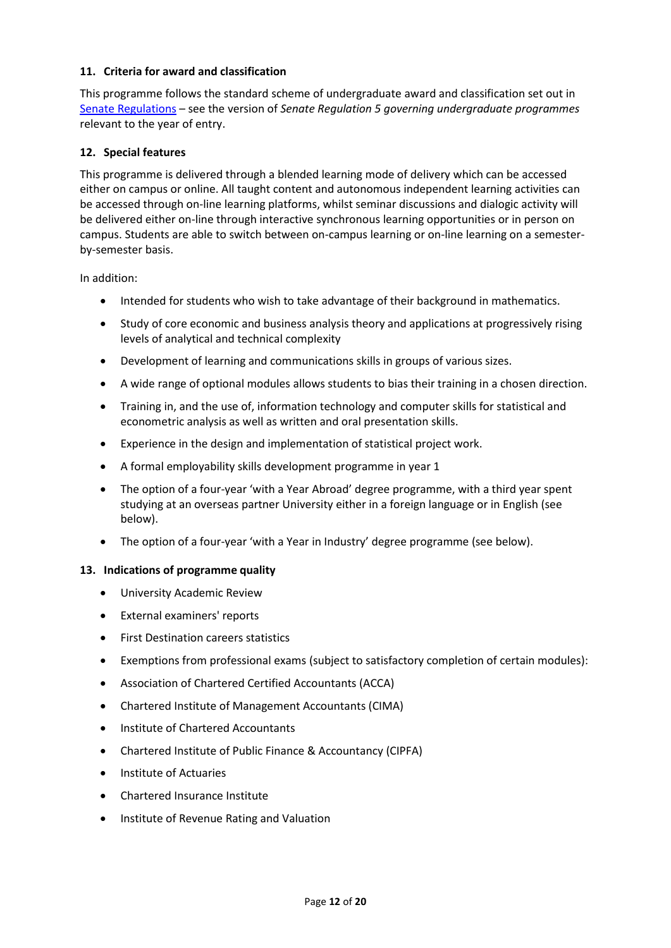#### **11. Criteria for award and classification**

This programme follows the standard scheme of undergraduate award and classification set out in [Senate Regulations](http://www.le.ac.uk/senate-regulations) – see the version of *Senate Regulation 5 governing undergraduate programmes* relevant to the year of entry.

#### **12. Special features**

This programme is delivered through a blended learning mode of delivery which can be accessed either on campus or online. All taught content and autonomous independent learning activities can be accessed through on-line learning platforms, whilst seminar discussions and dialogic activity will be delivered either on-line through interactive synchronous learning opportunities or in person on campus. Students are able to switch between on-campus learning or on-line learning on a semesterby-semester basis.

In addition:

- Intended for students who wish to take advantage of their background in mathematics.
- Study of core economic and business analysis theory and applications at progressively rising levels of analytical and technical complexity
- Development of learning and communications skills in groups of various sizes.
- A wide range of optional modules allows students to bias their training in a chosen direction.
- Training in, and the use of, information technology and computer skills for statistical and econometric analysis as well as written and oral presentation skills.
- Experience in the design and implementation of statistical project work.
- A formal employability skills development programme in year 1
- The option of a four-year 'with a Year Abroad' degree programme, with a third year spent studying at an overseas partner University either in a foreign language or in English (see below).
- The option of a four-year 'with a Year in Industry' degree programme (see below).

#### **13. Indications of programme quality**

- University Academic Review
- External examiners' reports
- First Destination careers statistics
- Exemptions from professional exams (subject to satisfactory completion of certain modules):
- Association of Chartered Certified Accountants (ACCA)
- Chartered Institute of Management Accountants (CIMA)
- Institute of Chartered Accountants
- Chartered Institute of Public Finance & Accountancy (CIPFA)
- Institute of Actuaries
- Chartered Insurance Institute
- **•** Institute of Revenue Rating and Valuation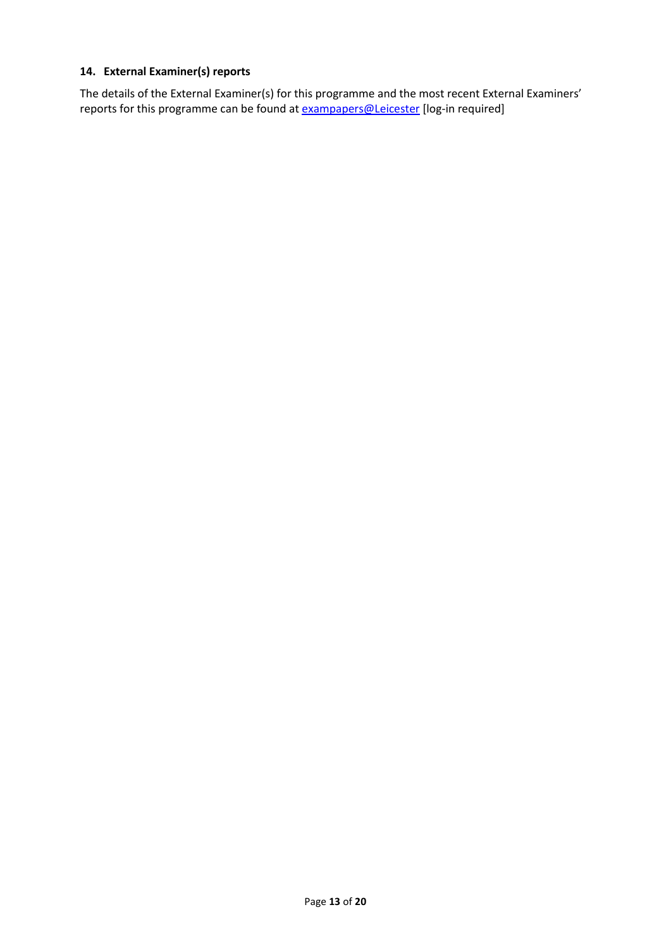### **14. External Examiner(s) reports**

The details of the External Examiner(s) for this programme and the most recent External Examiners' reports for this programme can be found at **[exampapers@Leicester](https://exampapers.le.ac.uk/)** [log-in required]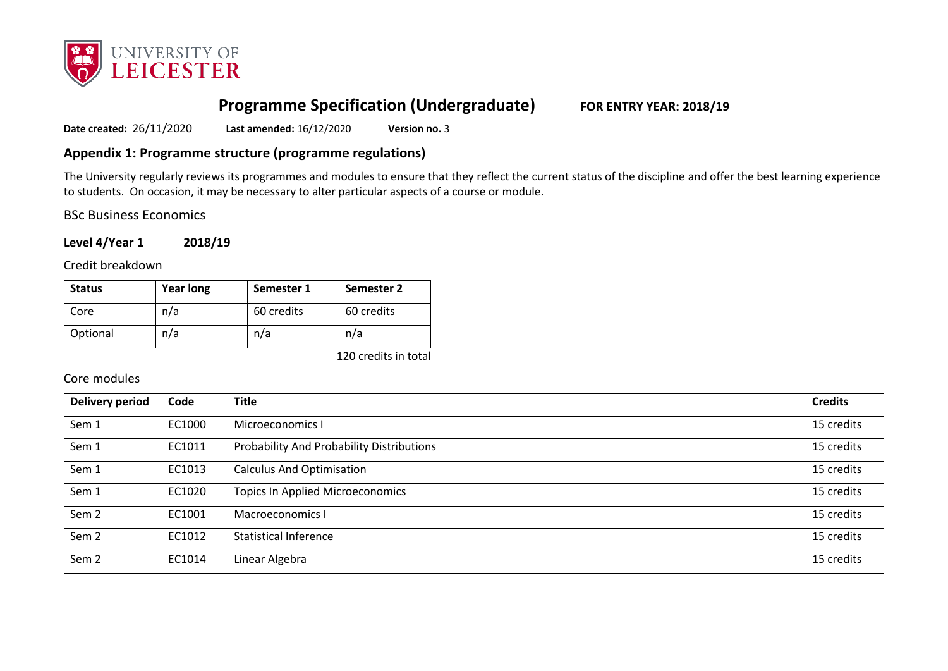

# **Programme Specification (Undergraduate) FOR ENTRY YEAR: 2018/19**

**Date created:** 26/11/2020 **Last amended:** 16/12/2020 **Version no.** 3

### **Appendix 1: Programme structure (programme regulations)**

The University regularly reviews its programmes and modules to ensure that they reflect the current status of the discipline and offer the best learning experience to students. On occasion, it may be necessary to alter particular aspects of a course or module.

BSc Business Economics

**Level 4/Year 1 2018/19**

Credit breakdown

| <b>Status</b> | <b>Year long</b> | Semester 1 | Semester 2 |
|---------------|------------------|------------|------------|
| Core          | n/a              | 60 credits | 60 credits |
| Optional      | n/a              | n/a        | n/a        |

120 credits in total

### Core modules

| <b>Delivery period</b> | Code   | <b>Title</b>                              | <b>Credits</b> |
|------------------------|--------|-------------------------------------------|----------------|
| Sem 1                  | EC1000 | Microeconomics I                          | 15 credits     |
| Sem 1                  | EC1011 | Probability And Probability Distributions | 15 credits     |
| Sem 1                  | EC1013 | <b>Calculus And Optimisation</b>          | 15 credits     |
| Sem 1                  | EC1020 | <b>Topics In Applied Microeconomics</b>   | 15 credits     |
| Sem <sub>2</sub>       | EC1001 | Macroeconomics I                          | 15 credits     |
| Sem <sub>2</sub>       | EC1012 | <b>Statistical Inference</b>              | 15 credits     |
| Sem <sub>2</sub>       | EC1014 | Linear Algebra                            | 15 credits     |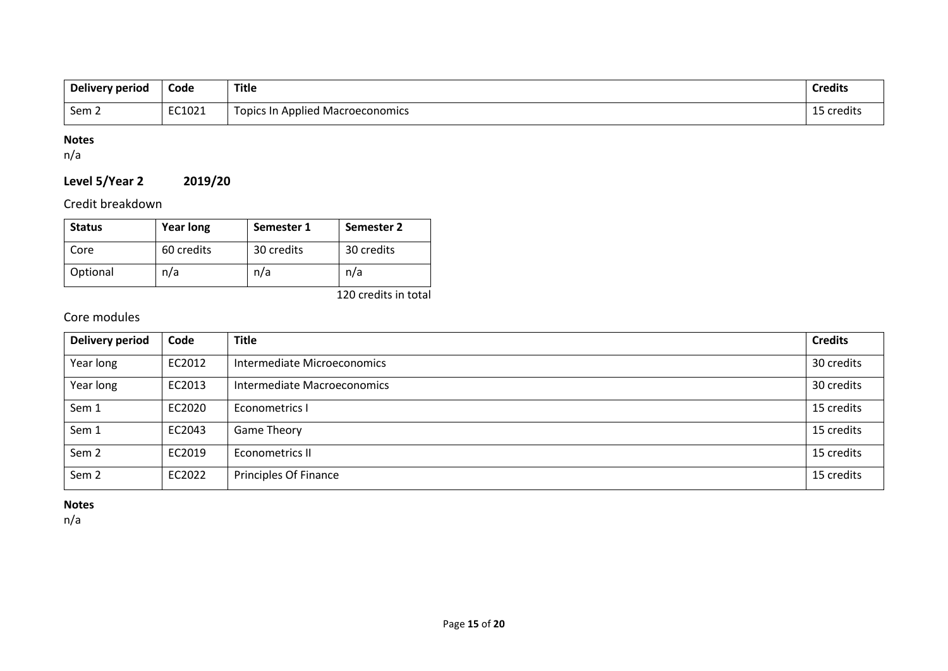| Delivery period  | Code   | <b>Title</b>                     | <b>Credits</b> |
|------------------|--------|----------------------------------|----------------|
| Sem <sub>2</sub> | EC1021 | Topics In Applied Macroeconomics | 15 credits     |

## **Notes**

n/a

# **Level 5/Year 2 2019/20**

Credit breakdown

| <b>Status</b> | <b>Year long</b> | Semester 1 | Semester 2 |
|---------------|------------------|------------|------------|
| Core          | 60 credits       | 30 credits | 30 credits |
| Optional      | n/a              | n/a        | n/a        |

120 credits in total

# Core modules

| Delivery period  | Code   | <b>Title</b>                | <b>Credits</b> |
|------------------|--------|-----------------------------|----------------|
| Year long        | EC2012 | Intermediate Microeconomics | 30 credits     |
| Year long        | EC2013 | Intermediate Macroeconomics | 30 credits     |
| Sem 1            | EC2020 | Econometrics I              | 15 credits     |
| Sem 1            | EC2043 | <b>Game Theory</b>          | 15 credits     |
| Sem 2            | EC2019 | Econometrics II             | 15 credits     |
| Sem <sub>2</sub> | EC2022 | Principles Of Finance       | 15 credits     |

## **Notes**

n/a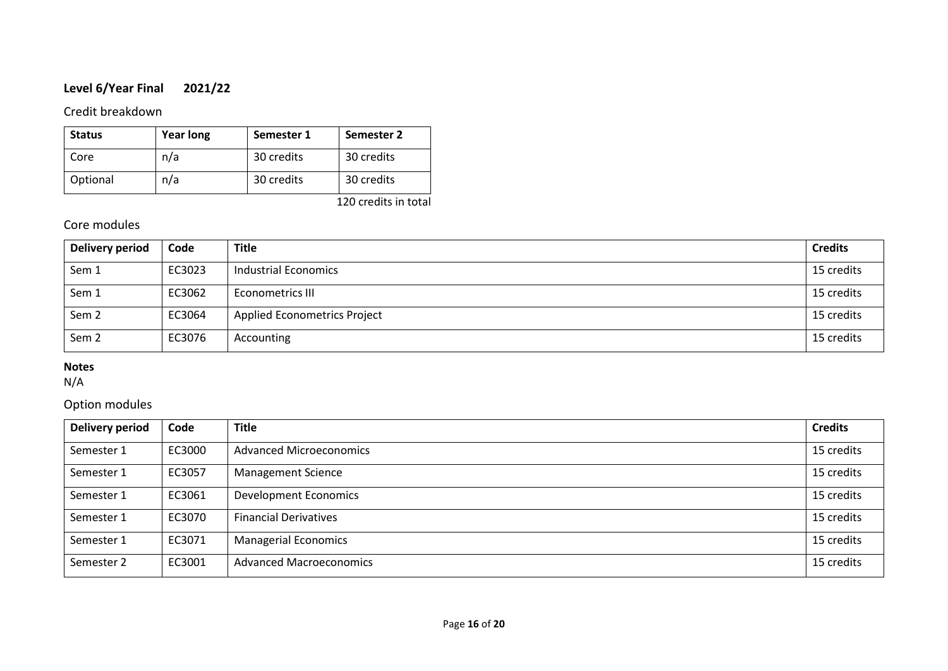# **Level 6/Year Final 2021/22**

### Credit breakdown

| <b>Status</b> | <b>Year long</b> | Semester 1 | Semester 2 |
|---------------|------------------|------------|------------|
| Core          | n/a              | 30 credits | 30 credits |
| Optional      | n/a              | 30 credits | 30 credits |

120 credits in total

# Core modules

| Delivery period  | Code   | <b>Title</b>                        | <b>Credits</b> |
|------------------|--------|-------------------------------------|----------------|
| Sem 1            | EC3023 | Industrial Economics                | 15 credits     |
| Sem 1            | EC3062 | Econometrics III                    | 15 credits     |
| Sem 2            | EC3064 | <b>Applied Econometrics Project</b> | 15 credits     |
| Sem <sub>2</sub> | EC3076 | Accounting                          | 15 credits     |

## **Notes**

N/A

# Option modules

| <b>Delivery period</b> | Code   | <b>Title</b>                   | <b>Credits</b> |
|------------------------|--------|--------------------------------|----------------|
| Semester 1             | EC3000 | <b>Advanced Microeconomics</b> | 15 credits     |
| Semester 1             | EC3057 | <b>Management Science</b>      | 15 credits     |
| Semester 1             | EC3061 | <b>Development Economics</b>   | 15 credits     |
| Semester 1             | EC3070 | <b>Financial Derivatives</b>   | 15 credits     |
| Semester 1             | EC3071 | <b>Managerial Economics</b>    | 15 credits     |
| Semester 2             | EC3001 | <b>Advanced Macroeconomics</b> | 15 credits     |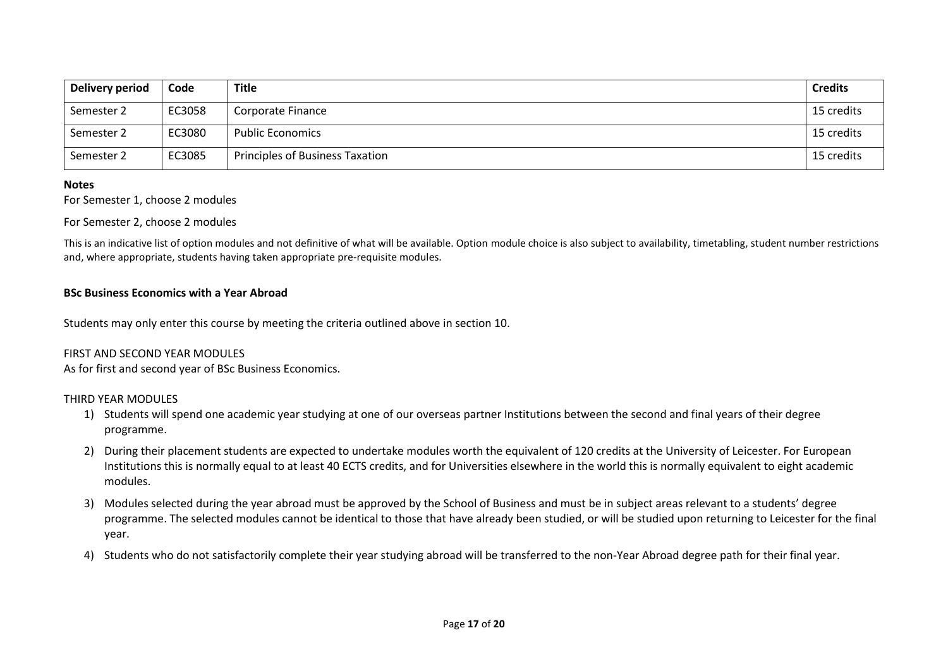| Delivery period | Code   | Title                                  | <b>Credits</b> |
|-----------------|--------|----------------------------------------|----------------|
| Semester 2      | EC3058 | Corporate Finance                      | 15 credits     |
| Semester 2      | EC3080 | <b>Public Economics</b>                | 15 credits     |
| Semester 2      | EC3085 | <b>Principles of Business Taxation</b> | 15 credits     |

#### **Notes**

For Semester 1, choose 2 modules

#### For Semester 2, choose 2 modules

This is an indicative list of option modules and not definitive of what will be available. Option module choice is also subject to availability, timetabling, student number restrictions and, where appropriate, students having taken appropriate pre-requisite modules.

#### **BSc Business Economics with a Year Abroad**

Students may only enter this course by meeting the criteria outlined above in section 10.

#### FIRST AND SECOND YEAR MODULES

As for first and second year of BSc Business Economics.

#### THIRD YEAR MODULES

- 1) Students will spend one academic year studying at one of our overseas partner Institutions between the second and final years of their degree programme.
- 2) During their placement students are expected to undertake modules worth the equivalent of 120 credits at the University of Leicester. For European Institutions this is normally equal to at least 40 ECTS credits, and for Universities elsewhere in the world this is normally equivalent to eight academic modules.
- 3) Modules selected during the year abroad must be approved by the School of Business and must be in subject areas relevant to a students' degree programme. The selected modules cannot be identical to those that have already been studied, or will be studied upon returning to Leicester for the final year.
- 4) Students who do not satisfactorily complete their year studying abroad will be transferred to the non-Year Abroad degree path for their final year.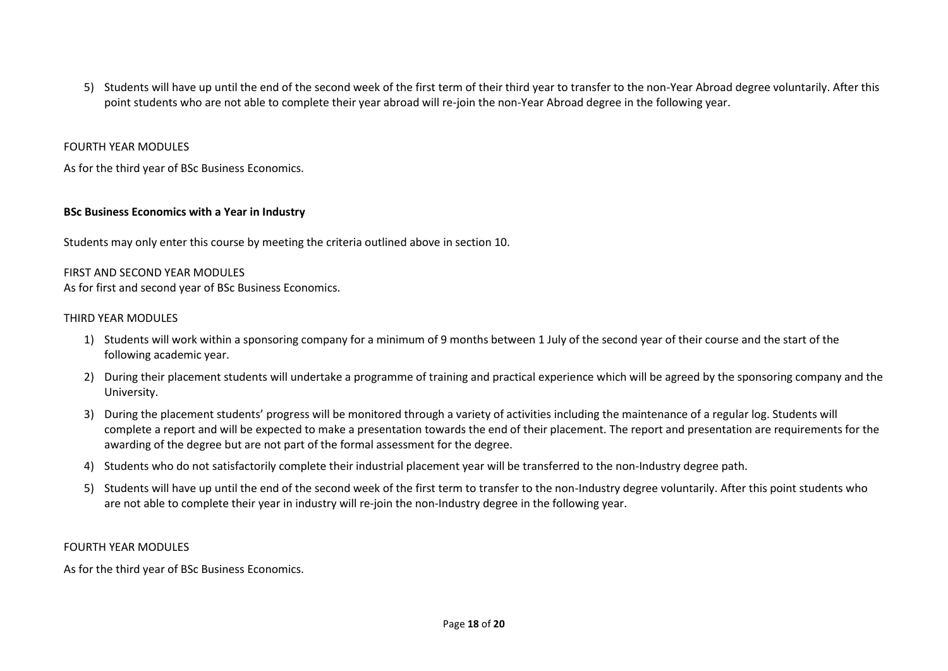5) Students will have up until the end of the second week of the first term of their third year to transfer to the non-Year Abroad degree voluntarily. After this point students who are not able to complete their year abroad will re-join the non-Year Abroad degree in the following year.

#### FOURTH YEAR MODULES

As for the third year of BSc Business Economics.

#### **BSc Business Economics with a Year in Industry**

Students may only enter this course by meeting the criteria outlined above in section 10.

#### FIRST AND SECOND YEAR MODULES

As for first and second year of BSc Business Economics.

#### THIRD YEAR MODULES

- 1) Students will work within a sponsoring company for a minimum of 9 months between 1 July of the second year of their course and the start of the following academic year.
- 2) During their placement students will undertake a programme of training and practical experience which will be agreed by the sponsoring company and the University.
- 3) During the placement students' progress will be monitored through a variety of activities including the maintenance of a regular log. Students will complete a report and will be expected to make a presentation towards the end of their placement. The report and presentation are requirements for the awarding of the degree but are not part of the formal assessment for the degree.
- 4) Students who do not satisfactorily complete their industrial placement year will be transferred to the non-Industry degree path.
- 5) Students will have up until the end of the second week of the first term to transfer to the non-Industry degree voluntarily. After this point students who are not able to complete their year in industry will re-join the non-Industry degree in the following year.

#### FOURTH YEAR MODULES

As for the third year of BSc Business Economics.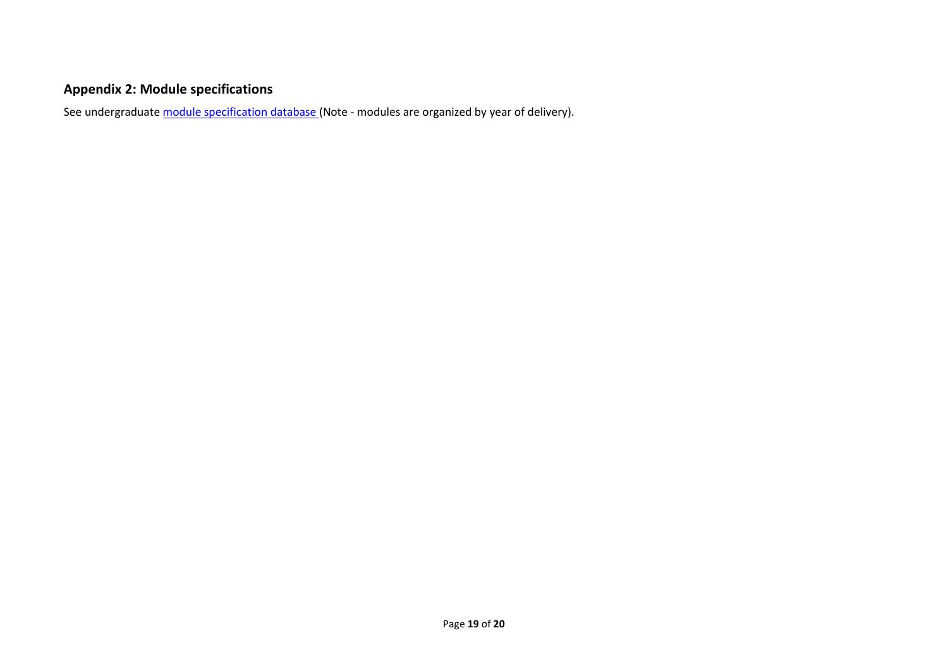# **Appendix 2: Module specifications**

See undergraduat[e module specification database](http://www.le.ac.uk/sas/courses/documentation) (Note - modules are organized by year of delivery).